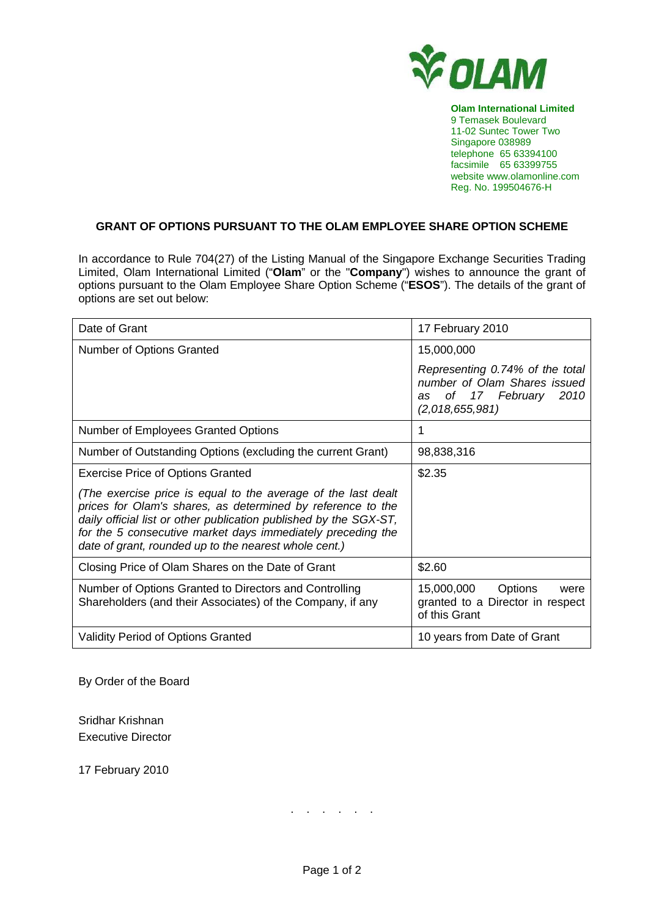

**Olam International Limited**  9 Temasek Boulevard 11-02 Suntec Tower Two Singapore 038989 telephone 65 63394100 facsimile 65 63399755 website www.olamonline.com Reg. No. 199504676-H

## **GRANT OF OPTIONS PURSUANT TO THE OLAM EMPLOYEE SHARE OPTION SCHEME**

In accordance to Rule 704(27) of the Listing Manual of the Singapore Exchange Securities Trading Limited, Olam International Limited ("**Olam**" or the "**Company**") wishes to announce the grant of options pursuant to the Olam Employee Share Option Scheme ("**ESOS**"). The details of the grant of options are set out below:

| Date of Grant                                                                                                                                                                                                                                                                                                             | 17 February 2010                                                                                                |
|---------------------------------------------------------------------------------------------------------------------------------------------------------------------------------------------------------------------------------------------------------------------------------------------------------------------------|-----------------------------------------------------------------------------------------------------------------|
| Number of Options Granted                                                                                                                                                                                                                                                                                                 | 15,000,000                                                                                                      |
|                                                                                                                                                                                                                                                                                                                           | Representing 0.74% of the total<br>number of Olam Shares issued<br>of 17 February 2010<br>as<br>(2,018,655,981) |
| Number of Employees Granted Options                                                                                                                                                                                                                                                                                       | 1                                                                                                               |
| Number of Outstanding Options (excluding the current Grant)                                                                                                                                                                                                                                                               | 98,838,316                                                                                                      |
| <b>Exercise Price of Options Granted</b>                                                                                                                                                                                                                                                                                  | \$2.35                                                                                                          |
| (The exercise price is equal to the average of the last dealt<br>prices for Olam's shares, as determined by reference to the<br>daily official list or other publication published by the SGX-ST,<br>for the 5 consecutive market days immediately preceding the<br>date of grant, rounded up to the nearest whole cent.) |                                                                                                                 |
| Closing Price of Olam Shares on the Date of Grant                                                                                                                                                                                                                                                                         | \$2.60                                                                                                          |
| Number of Options Granted to Directors and Controlling<br>Shareholders (and their Associates) of the Company, if any                                                                                                                                                                                                      | 15,000,000<br>Options<br>were<br>granted to a Director in respect<br>of this Grant                              |
| <b>Validity Period of Options Granted</b>                                                                                                                                                                                                                                                                                 | 10 years from Date of Grant                                                                                     |

By Order of the Board

Sridhar Krishnan Executive Director

17 February 2010

. . . . . .